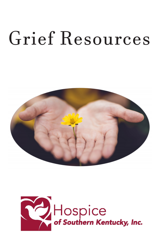# Grief Resources



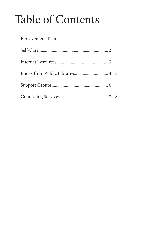## Table of Contents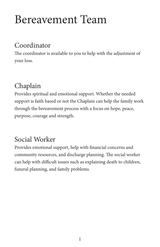### Bereavement Team

#### Coordinator

The coordinator is available to you to help with the adjustment of your loss.

#### Chaplain

Provides spiritual and emotional support. Whether the needed support is faith based or not the Chaplain can help the family work through the bereavement process with a focus on hope, peace, purpose, courage and strength.

#### Social Worker

Provides emotional support, help with financial concerns and community resources, and discharge planning. The social worker can help with difficult issues such as explaining death to children, funeral planning, and family problems.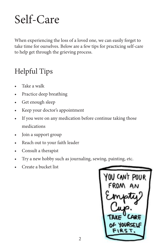### Self-Care

When experiencing the loss of a loved one, we can easily forget to take time for ourselves. Below are a few tips for practicing self-care to help get through the grieving process.

### Helpful Tips

- Take a walk
- Practice deep breathing
- Get enough sleep
- Keep your doctor's appointment
- If you were on any medication before continue taking those medications
- Join a support group
- Reach out to your faith leader
- Consult a therapist
- Try a new hobby such as journaling, sewing, painting, etc.
- Create a bucket list

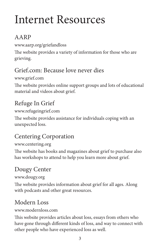### Internet Resources

#### AARP

www.aarp.org/griefandloss

The website provides a variety of information for those who are grieving.

#### Grief.com: Because love never dies

www.grief.com

The website provides online support groups and lots of educational material and videos about grief.

#### Refuge In Grief

www.refugeingrief.com

The website provides assistance for individuals coping with an unexpected loss.

#### Centering Corporation

www.centering.org

The website has books and magazines about grief to purchase also has workshops to attend to help you learn more about grief.

#### Dougy Center

www.dougy.org

The website provides information about grief for all ages. Along with podcasts and other great resources.

#### Modern Loss

www.modernloss.com

This website provides articles about loss, essays from others who have gone through different kinds of loss, and way to connect with other people who have experienced loss as well.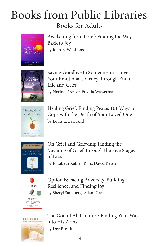### Books from Public Libraries Books for Adults



Awakening from Grief: Finding the Way Back to Joy by John E. Welshons



Saying Goodbye to Someone You Love: Your Emotional Journey Through End of Life and Grief by Norine Dresser, Fredda Wasserman



Healing Grief, Finding Peace: 101 Ways to Cope with the Death of Your Loved One by Louis E. LaGrand



On Grief and Grieving: Finding the Meaning of Grief Through the Five Stages of Loss by Elisabeth Kübler-Ross, David Kessler



Option B: Facing Adversity, Building Resilience, and Finding Joy by Sheryl Sandberg, Adam Grant



The God of All Comfort: Finding Your Way into His Arms by Dee Brestin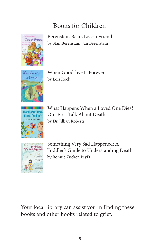#### Books for Children



Berenstain Bears Lose a Friend by Stan Berenstain, Jan Berenstain



When Good-bye Is Forever by Lois Rock



What Happens When a Loved One Dies?: Our First Talk About Death by Dr. Jillian Roberts



Something Very Sad Happened: A Toddler's Guide to Understanding Death by Bonnie Zucker, PsyD

Your local library can assist you in finding these books and other books related to grief.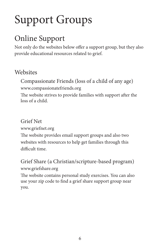## Support Groups

### Online Support

Not only do the websites below offer a support group, but they also provide educational resources related to grief.

#### **Websites**

Compassionate Friends (loss of a child of any age) www.compassionatefriends.org

The website strives to provide families with support after the loss of a child.

Grief Net

www.griefnet.org

The website provides email support groups and also two websites with resources to help get families through this difficult time.

Grief Share (a Christian/scripture-based program) www.griefshare.org

The website contains personal study exercises. You can also use your zip code to find a grief share support group near you.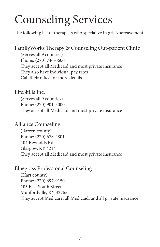## Counseling Services

The following list of therapists who specialize in grief/bereavement.

(Serves all 9 counties) Phone: (270) 746-6600 They accept all Medicaid and most private insurance They also have individual pay rates Call their office for more details FamilyWorks Therapy & Counseling Out-patient Clinic

#### LifeSkills Inc.

(Serves all 9 counties) Phone: (270) 901-5000 They accept all Medicaid and most private insurance

#### Alliance Counseling

(Barren county) Phone: (270) 678-4801 104 Reynolds Rd Glasgow, KY 42141 They accept all Medicaid and most private insurance

#### Bluegrass Professional Counseling

(Hart county) Phone: (270) 697-9150 103 East South Street Munfordville, KY 42765 They accept Medicare, all Medicaid, and all private insurance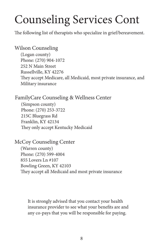## Counseling Services Cont

The following list of therapists who specialize in grief/bereavement.

#### Wilson Counseling

(Logan county) Phone: (270) 904-1072 252 N Main Street Russellville, KY 42276 They accept Medicare, all Medicaid, most private insurance, and Military insurance

#### FamilyCare Counseling & Wellness Center

(Simpson county) Phone: (270) 253-3722 215C Bluegrass Rd Franklin, KY 42134 They only accept Kentucky Medicaid

#### (Warren county) Phone: (270) 599-4004 855 Lovers Ln #107 Bowling Green, KY 42103 They accept all Medicaid and most private insurance McCoy Counseling Center

It is strongly advised that you contact your health insurance provider to see what your benefits are and any co-pays that you will be responsible for paying.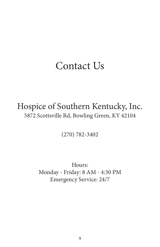### Contact Us

#### Hospice of Southern Kentucky, Inc. 5872 Scottsville Rd, Bowling Green, KY 42104

(270) 782-3402

Hours: Monday - Friday: 8 AM - 4:30 PM Emergency Service: 24/7